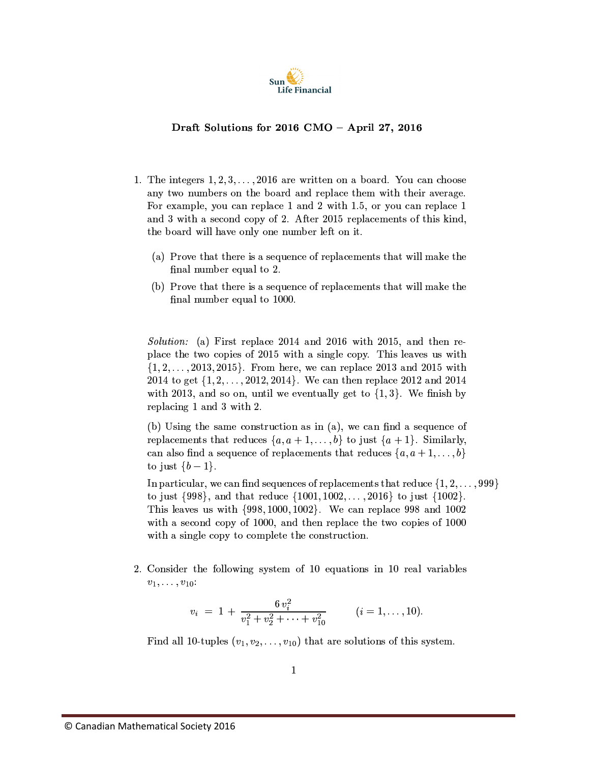

## Draft Solutions for 2016 CMO - April 27, 2016

- 1. The integers  $1, 2, 3, \ldots, 2016$  are written on a board. You can choose any two numbers on the board and replace them with their average. For example, you can replace 1 and 2 with 1.5, or you can replace 1 and 3 with a second copy of 2. After 2015 replacements of this kind, the board will have only one number left on it.
	- (a) Prove that there is a sequence of replacements that will make the final number equal to 2.
	- (b) Prove that there is a sequence of replacements that will make the final number equal to 1000.

*Solution:* (a) First replace 2014 and 2016 with 2015, and then replace the two copies of 2015 with a single copy. This leaves us with  $\{1, 2, \ldots, 2013, 2015\}$ . From here, we can replace 2013 and 2015 with 2014 to get  $\{1, 2, \ldots, 2012, 2014\}$ . We can then replace 2012 and 2014 with 2013, and so on, until we eventually get to  $\{1,3\}$ . We finish by replacing 1 and 3 with 2.

(b) Using the same construction as in  $(a)$ , we can find a sequence of replacements that reduces  $\{a, a+1, \ldots, b\}$  to just  $\{a+1\}$ . Similarly, can also find a sequence of replacements that reduces  $\{a, a+1, \ldots, b\}$ to just  $\{b-1\}.$ 

In particular, we can find sequences of replacements that reduce  $\{1, 2, \ldots, 999\}$ to just  $\{998\}$ , and that reduce  $\{1001, 1002, \ldots, 2016\}$  to just  $\{1002\}$ . This leaves us with  $\{998, 1000, 1002\}$ . We can replace 998 and 1002 with a second copy of 1000, and then replace the two copies of 1000 with a single copy to complete the construction.

2. Consider the following system of 10 equations in 10 real variables  $v_1, \ldots, v_{10}$ :

$$
v_i = 1 + \frac{6 v_i^2}{v_1^2 + v_2^2 + \dots + v_{10}^2}
$$
  $(i = 1, \dots, 10).$ 

Find all 10-tuples  $(v_1, v_2, \ldots, v_{10})$  that are solutions of this system.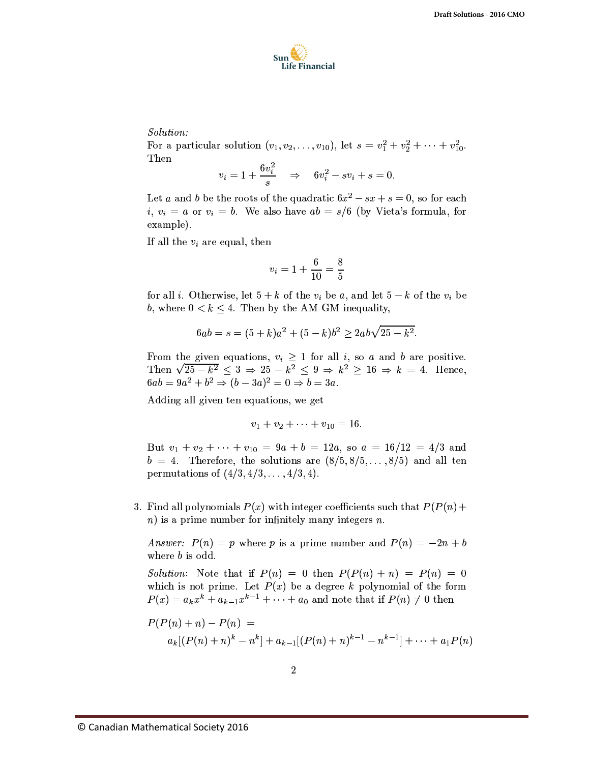

## Solution:

For a particular solution  $(v_1, v_2, \ldots, v_{10})$ , let  $s = v_1^2 + v_2^2 + \cdots + v_{10}^2$ . Then

$$
v_i = 1 + \frac{6v_i^2}{s} \quad \Rightarrow \quad 6v_i^2 - sv_i + s = 0.
$$

Let a and b be the roots of the quadratic  $6x^2 - sx + s = 0$ , so for each *i*,  $v_i = a$  or  $v_i = b$ . We also have  $ab = s/6$  (by Vieta's formula, for example).

If all the  $v_i$  are equal, then

$$
v_i = 1 + \frac{6}{10} = \frac{8}{5}
$$

for all *i*. Otherwise, let  $5 + k$  of the  $v_i$  be a, and let  $5 - k$  of the  $v_i$  be b, where  $0 < k \leq 4$ . Then by the AM-GM inequality,

$$
6ab = s = (5 + k)a^{2} + (5 - k)b^{2} \ge 2ab\sqrt{25 - k^{2}}.
$$

From the given equations,  $v_i \ge 1$  for all *i*, so *a* and *b* are positive.<br>Then  $\sqrt{25 - k^2} \le 3 \Rightarrow 25 - k^2 \le 9 \Rightarrow k^2 \ge 16 \Rightarrow k = 4$ . Hence,  $6ab = 9a^2 + b^2 \Rightarrow (b - 3a)^2 = 0 \Rightarrow b = 3a.$ 

Adding all given ten equations, we get

 $v_1 + v_2 + \cdots + v_{10} = 16.$ 

But  $v_1 + v_2 + \cdots + v_{10} = 9a + b = 12a$ , so  $a = 16/12 = 4/3$  and  $b = 4$ . Therefore, the solutions are  $(8/5, 8/5, \ldots, 8/5)$  and all ten permutations of  $(4/3, 4/3, ..., 4/3, 4)$ .

3. Find all polynomials  $P(x)$  with integer coefficients such that  $P(P(n) +$  $n)$  is a prime number for infinitely many integers n.

*Answer:*  $P(n) = p$  where p is a prime number and  $P(n) = -2n + b$ where *b* is odd.

*Solution*: Note that if  $P(n) = 0$  then  $P(P(n) + n) = P(n) = 0$ which is not prime. Let  $P(x)$  be a degree k polynomial of the form  $P(x) = a_k x^k + a_{k-1} x^{k-1} + \cdots + a_0$  and note that if  $P(n) \neq 0$  then

$$
P(P(n) + n) - P(n) =
$$
  
\n
$$
a_k[(P(n) + n)^k - n^k] + a_{k-1}[(P(n) + n)^{k-1} - n^{k-1}] + \dots + a_1 P(n)
$$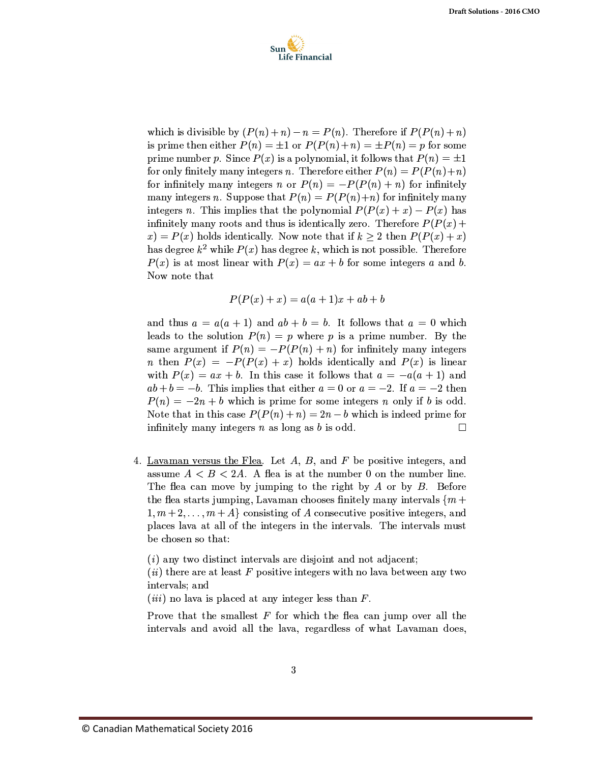

which is divisible by  $(P(n) + n) - n = P(n)$ . Therefore if  $P(P(n) + n)$ is prime then either  $P(n) = \pm 1$  or  $P(P(n) + n) = \pm P(n) = p$  for some prime number p. Since  $P(x)$  is a polynomial, it follows that  $P(n) = \pm 1$ for only finitely many integers *n*. Therefore either  $P(n) = P(P(n) + n)$ for infinitely many integers n or  $P(n) = -P(P(n) + n)$  for infinitely many integers n. Suppose that  $P(n) = P(P(n)+n)$  for infinitely many integers n. This implies that the polynomial  $P(P(x) + x) - P(x)$  has infinitely many roots and thus is identically zero. Therefore  $P(P(x) +$  $f(x) = P(x)$  holds identically. Now note that if  $k \geq 2$  then  $P(P(x) + x)$ has degree  $k^2$  while  $P(x)$  has degree k, which is not possible. Therefore  $P(x)$  is at most linear with  $P(x) = ax + b$  for some integers a and b. Now note that

$$
P(P(x) + x) = a(a+1)x + ab + b
$$

and thus  $a = a(a + 1)$  and  $ab + b = b$ . It follows that  $a = 0$  which leads to the solution  $P(n) = p$  where p is a prime number. By the same argument if  $P(n) = -P(P(n) + n)$  for infinitely many integers *n* then  $P(x) = -P(P(x) + x)$  holds identically and  $P(x)$  is linear with  $P(x) = ax + b$ . In this case it follows that  $a = -a(a + 1)$  and  $ab + b = -b$ . This implies that either  $a = 0$  or  $a = -2$ . If  $a = -2$  then  $P(n) = -2n + b$  which is prime for some integers n only if b is odd. Note that in this case  $P(P(n) + n) = 2n - b$  which is indeed prime for infinitely many integers  $n$  as long as  $b$  is odd.  $\Box$ 

4. Lavaman versus the Flea. Let  $A, B$ , and  $F$  be positive integers, and assume  $A < B < 2A$ . A flea is at the number 0 on the number line. The flea can move by jumping to the right by  $A$  or by  $B$ . Before the flea starts jumping, Lavaman chooses finitely many intervals  $\{m +$  $1, m+2, \ldots, m+A$  consisting of A consecutive positive integers, and places lava at all of the integers in the intervals. The intervals must be chosen so that:

 $(i)$  any two distinct intervals are disjoint and not adjacent;

 $(ii)$  there are at least F positive integers with no lava between any two intervals; and

(*iii*) no lava is placed at any integer less than  $F$ .

Prove that the smallest  $F$  for which the flea can jump over all the intervals and avoid all the lava, regardless of what Lavaman does,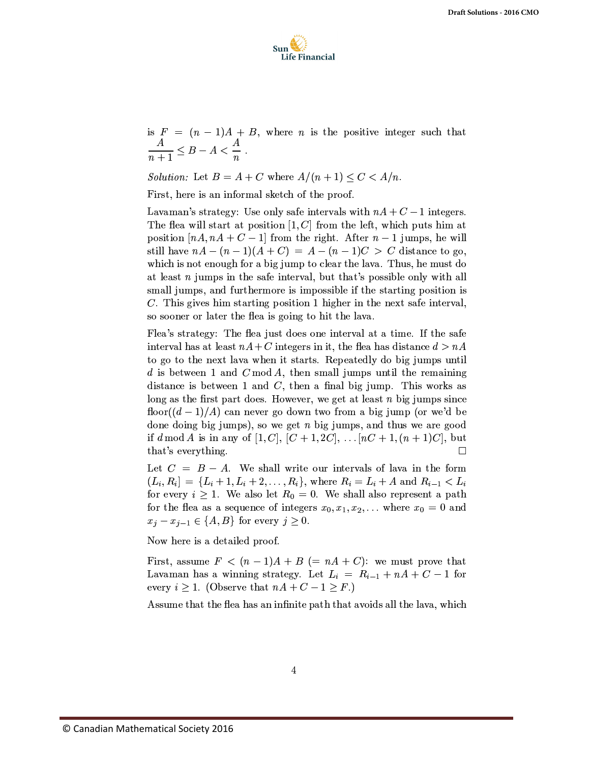

is  $F = (n-1)A + B$ , where *n* is the positive integer such that  $\frac{A}{n+1} \leq B - A < \frac{A}{n}.$ 

Solution: Let  $B = A + C$  where  $A/(n+1) \leq C < A/n$ .

First, here is an informal sketch of the proof.

Lavaman's strategy: Use only safe intervals with  $nA + C - 1$  integers. The flea will start at position  $[1, C]$  from the left, which puts him at position  $[nA, nA + C - 1]$  from the right. After  $n - 1$  jumps, he will still have  $nA - (n-1)(A+C) = A - (n-1)C > C$  distance to go, which is not enough for a big jump to clear the lava. Thus, he must do at least  $n$  jumps in the safe interval, but that's possible only with all small jumps, and furthermore is impossible if the starting position is  $C$ . This gives him starting position 1 higher in the next safe interval. so sooner or later the flea is going to hit the lava.

Flea's strategy: The flea just does one interval at a time. If the safe interval has at least  $nA + C$  integers in it, the flea has distance  $d > nA$ to go to the next lava when it starts. Repeatedly do big jumps until d is between 1 and  $C \mod A$ , then small jumps until the remaining distance is between 1 and  $C$ , then a final big jump. This works as long as the first part does. However, we get at least  $n$  big jumps since floor( $(d-1)/A$ ) can never go down two from a big jump (or we'd be done doing big jumps), so we get  $n$  big jumps, and thus we are good if  $d \mod A$  is in any of  $[1, C], [C + 1, 2C], \ldots [nC + 1, (n + 1)C],$  but that's everything.  $\Box$ 

Let  $C = B - A$ . We shall write our intervals of lava in the form  $(L_i, R_i] = \{L_i + 1, L_i + 2, \ldots, R_i\}$ , where  $R_i = L_i + A$  and  $R_{i-1} < L_i$ for every  $i \geq 1$ . We also let  $R_0 = 0$ . We shall also represent a path for the flea as a sequence of integers  $x_0, x_1, x_2, ...$  where  $x_0 = 0$  and  $x_j - x_{j-1} \in \{A, B\}$  for every  $j \geq 0$ .

Now here is a detailed proof.

First, assume  $F < (n-1)A + B (= nA + C)$ : we must prove that Lavaman has a winning strategy. Let  $L_i = R_{i-1} + nA + C - 1$  for every  $i \geq 1$ . (Observe that  $nA + C - 1 \geq F$ .)

Assume that the flea has an infinite path that avoids all the lava, which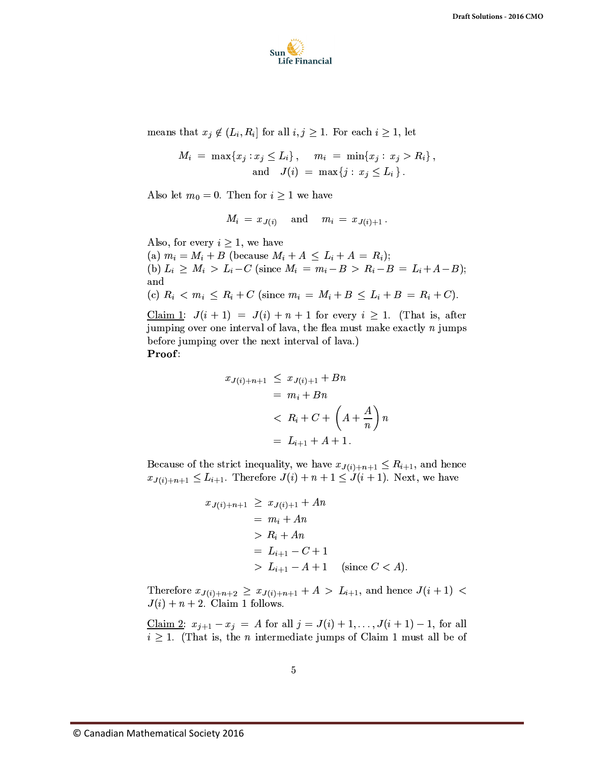

means that  $x_j \notin (L_i, R_i]$  for all  $i, j \geq 1$ . For each  $i \geq 1$ , let

$$
M_i = \max\{x_j : x_j \le L_i\}, \quad m_i = \min\{x_j : x_j > R_i\},\
$$
  
and 
$$
J(i) = \max\{j : x_j \le L_i\}.
$$

Also let  $m_0 = 0$ . Then for  $i \geq 1$  we have

$$
M_i\,=\,x_{\,J(i)}\quad \ \, \text{and}\quad \ m_i\,=\,x_{\,J(i)+1}\,
$$

Also, for every  $i \geq 1$ , we have

(a)  $m_i = M_i + B$  (because  $M_i + A \leq L_i + A = R_i$ ); (b)  $L_i \geq M_i > L_i - C$  (since  $M_i = m_i - B > R_i - B = L_i + A - B$ ); and (c)  $R_i < m_i \le R_i + C$  (since  $m_i = M_i + B \le L_i + B = R_i + C$ ).

Claim 1:  $J(i + 1) = J(i) + n + 1$  for every  $i \ge 1$ . (That is, after jumping over one interval of lava, the flea must make exactly  $n$  jumps before jumping over the next interval of lava.) Proof:

$$
x_{J(i)+n+1} \leq x_{J(i)+1} + Bn
$$
  
=  $m_i + Bn$   

$$
< R_i + C + \left(A + \frac{A}{n}\right)n
$$
  
=  $L_{i+1} + A + 1$ .

Because of the strict inequality, we have  $x_{J(i)+n+1} \leq R_{i+1}$ , and hence  $x_{J(i)+n+1} \leq L_{i+1}$ . Therefore  $J(i) + n + 1 \leq J(i+1)$ . Next, we have

$$
x_{J(i)+n+1} \ge x_{J(i)+1} + An
$$
  
=  $m_i + An$   
>  $R_i + An$   
=  $L_{i+1} - C + 1$   
>  $L_{i+1} - A + 1$  (since  $C < A$ )

Therefore  $x_{J(i)+n+2} \ge x_{J(i)+n+1} + A > L_{i+1}$ , and hence  $J(i+1)$  $J(i) + n + 2$ . Claim 1 follows.

<u>Claim 2</u>:  $x_{j+1} - x_j = A$  for all  $j = J(i) + 1, ..., J(i + 1) - 1$ , for all  $i \geq 1$ . (That is, the *n* intermediate jumps of Claim 1 must all be of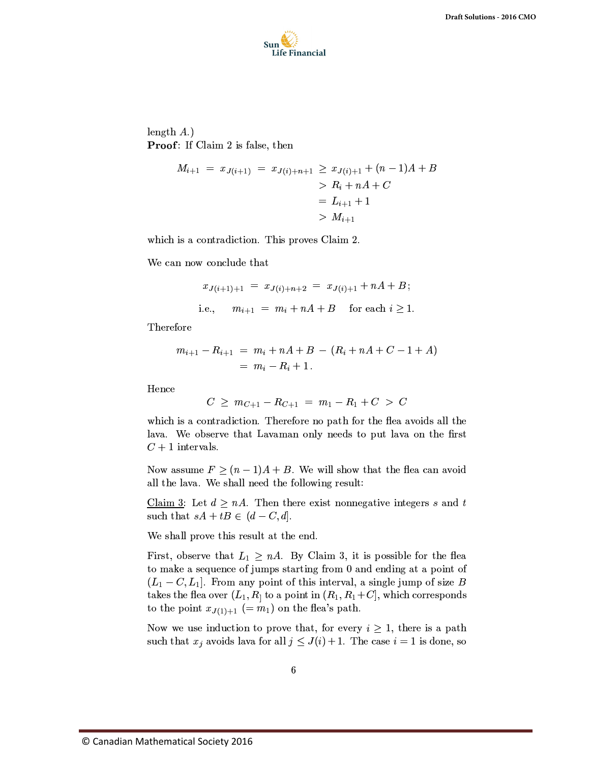

length  $A$ .) **Proof:** If Claim 2 is false, then

$$
M_{i+1} = x_{J(i+1)} = x_{J(i)+n+1} \ge x_{J(i)+1} + (n-1)A + B
$$
  
>  $R_i + nA + C$   
=  $L_{i+1} + 1$   
>  $M_{i+1}$ 

which is a contradiction. This proves Claim 2.

We can now conclude that

$$
x_{J(i+1)+1} = x_{J(i)+n+2} = x_{J(i)+1} + nA + B;
$$
  
i.e., 
$$
m_{i+1} = m_i + nA + B \text{ for each } i \ge 1.
$$

Therefore

$$
m_{i+1} - R_{i+1} = m_i + nA + B - (R_i + nA + C - 1 + A)
$$
  
=  $m_i - R_i + 1$ .

Hence

$$
C \geq m_{C+1} - R_{C+1} = m_1 - R_1 + C > C
$$

which is a contradiction. Therefore no path for the flea avoids all the lava. We observe that Lavaman only needs to put lava on the first  $C+1$  intervals.

Now assume  $F \ge (n-1)A + B$ . We will show that the flea can avoid all the lava. We shall need the following result:

Claim 3: Let  $d \geq nA$ . Then there exist nonnegative integers s and t such that  $sA + tB \in (d-C, d]$ .

We shall prove this result at the end.

First, observe that  $L_1 \geq nA$ . By Claim 3, it is possible for the flea to make a sequence of jumps starting from 0 and ending at a point of  $(L_1 - C, L_1]$ . From any point of this interval, a single jump of size B takes the flea over  $(L_1, R_1)$  to a point in  $(R_1, R_1+C]$ , which corresponds to the point  $x_{J(1)+1} (= m_1)$  on the flea's path.

Now we use induction to prove that, for every  $i \geq 1$ , there is a path such that  $x_j$  avoids lava for all  $j \leq J(i) + 1$ . The case  $i = 1$  is done, so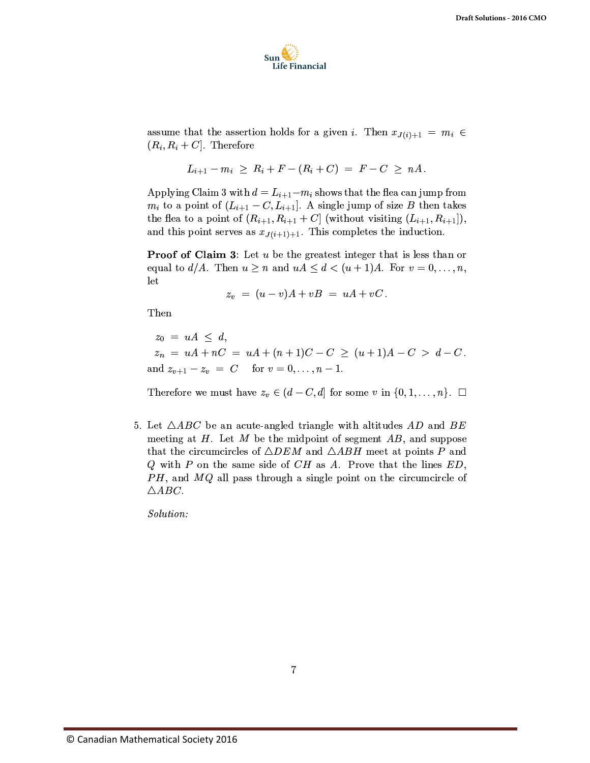

assume that the assertion holds for a given i. Then  $x_{J(i)+1} = m_i \in$  $(R_i, R_i + C]$ . Therefore

$$
L_{i+1} - m_i \geq R_i + F - (R_i + C) = F - C \geq nA.
$$

Applying Claim 3 with  $d = L_{i+1} - m_i$  shows that the flea can jump from  $m_i$  to a point of  $(L_{i+1}-C, L_{i+1}]$ . A single jump of size B then takes the flea to a point of  $(R_{i+1}, R_{i+1} + C]$  (without visiting  $(L_{i+1}, R_{i+1})$ ), and this point serves as  $x_{J(i+1)+1}$ . This completes the induction.

**Proof of Claim 3**: Let  $u$  be the greatest integer that is less than or equal to  $d/A$ . Then  $u \geq n$  and  $uA \leq d < (u + 1)A$ . For  $v = 0, \ldots, n$ , let

$$
z_v = (u - v)A + vB = uA + vC.
$$

Then

 $z_0 = uA \leq d$  $z_n = uA + nC = uA + (n+1)C - C \ge (u+1)A - C > d - C$ . and  $z_{v+1} - z_v = C$  for  $v = 0, ..., n-1$ .

Therefore we must have  $z_v \in (d-C, d]$  for some v in  $\{0, 1, \ldots, n\}$ .  $\Box$ 

5. Let  $\triangle ABC$  be an acute-angled triangle with altitudes AD and BE meeting at  $H$ . Let  $M$  be the midpoint of segment  $AB$ , and suppose that the circumcircles of  $\triangle DEM$  and  $\triangle ABH$  meet at points P and Q with P on the same side of  $CH$  as A. Prove that the lines  $ED$ ,  $PH$ , and  $MQ$  all pass through a single point on the circumcircle of  $\triangle ABC$ .

Solution: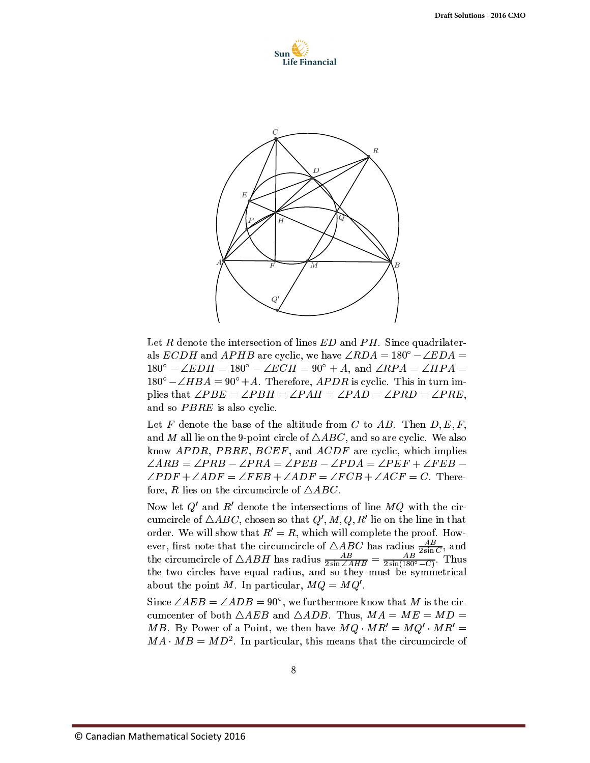



Let R denote the intersection of lines  $ED$  and  $PH$ . Since quadrilaterals *ECDH* and *APHB* are cyclic, we have  $\angle RDA = 180^{\circ} - \angle EDA =$  $180^{\circ} - \angle EDH = 180^{\circ} - \angle ECH = 90^{\circ} + A$ , and  $\angle RPA = \angle HPA =$  $180^{\circ} - \angle HBA = 90^{\circ} + A$ . Therefore, *APDR* is cyclic. This in turn implies that  $\angle PBE = \angle PBH = \angle PAH = \angle PAD = \angle PRD = \angle PRE$ , and so PBRE is also cyclic.

Let F denote the base of the altitude from C to AB. Then  $D, E, F$ , and M all lie on the 9-point circle of  $\triangle ABC$ , and so are cyclic. We also know *APDR*, *PBRE*, *BCEF*, and *ACDF* are cyclic, which implies  $\angle ARB = \angle PRB - \angle PRA = \angle PEB - \angle PDA = \angle PEF + \angle FEB \angle PDF + \angle ADF = \angle FEB + \angle ADF = \angle FCB + \angle ACF = C$ . Therefore, R lies on the circumcircle of  $\triangle ABC$ .

Now let  $Q'$  and  $R'$  denote the intersections of line  $MQ$  with the circumcircle of  $\triangle ABC$ , chosen so that  $Q', M, Q, R'$  lie on the line in that order. We will show that  $R' = R$ , which will complete the proof. However, first note that the circumcircle of  $\triangle ABC$  has radius  $\frac{AB}{2\sin C}$ , and the circumcircle of  $\triangle ABH$  has radius  $\frac{AB}{2\sin\angle AHB} = \frac{AB}{2\sin(180^\circ - C)}$ . Thus the two circles have equal radius, and so they must be symmetrical about the point M. In particular,  $MQ = MQ'$ .

Since  $\angle AEB = \angle ADB = 90^{\circ}$ , we furthermore know that M is the circumcenter of both  $\triangle AEB$  and  $\triangle ADB$ . Thus,  $MA = ME = MD =$ MB. By Power of a Point, we then have  $MQ \cdot MR' = MQ' \cdot MR' =$  $MA \cdot MB = MD^2$ . In particular, this means that the circumcircle of